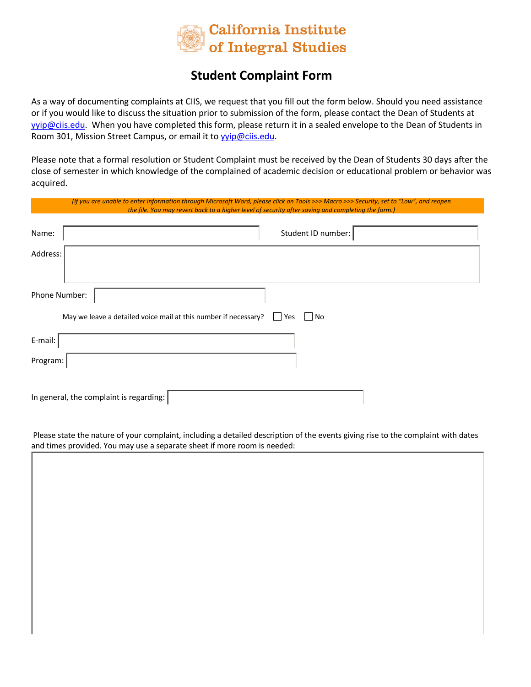

## **Student Complaint Form**

As a way of documenting complaints at CIIS, we request that you fill out the form below. Should you need assistance or if you would like to discuss the situation prior to submission of the form, please contact the Dean of Students at yyip@ciis.edu. When you have completed this form, please return it in a sealed envelope to the Dean of Students in Room 301, Mission Street Campus, or email it to yyip@ciis.edu.

Please note that a formal resolution or Student Complaint must be received by the Dean of Students 30 days after the close of semester in which knowledge of the complained of academic decision or educational problem or behavior was acquired.

| (If you are unable to enter information through Microsoft Word, please click on Tools >>> Macro >>> Security, set to "Low", and reopen<br>the file. You may revert back to a higher level of security after saving and completing the form.) |                                                                                    |  |
|----------------------------------------------------------------------------------------------------------------------------------------------------------------------------------------------------------------------------------------------|------------------------------------------------------------------------------------|--|
| Name:                                                                                                                                                                                                                                        | Student ID number:                                                                 |  |
| Address:                                                                                                                                                                                                                                     |                                                                                    |  |
| Phone Number:                                                                                                                                                                                                                                |                                                                                    |  |
|                                                                                                                                                                                                                                              | May we leave a detailed voice mail at this number if necessary? $\Box$ Yes<br>  No |  |
| $E$ -mail:                                                                                                                                                                                                                                   |                                                                                    |  |
| Program:                                                                                                                                                                                                                                     |                                                                                    |  |
|                                                                                                                                                                                                                                              |                                                                                    |  |
|                                                                                                                                                                                                                                              | In general, the complaint is regarding:                                            |  |

Please state the nature of your complaint, including a detailed description of the events giving rise to the complaint with dates and times provided. You may use a separate sheet if more room is needed: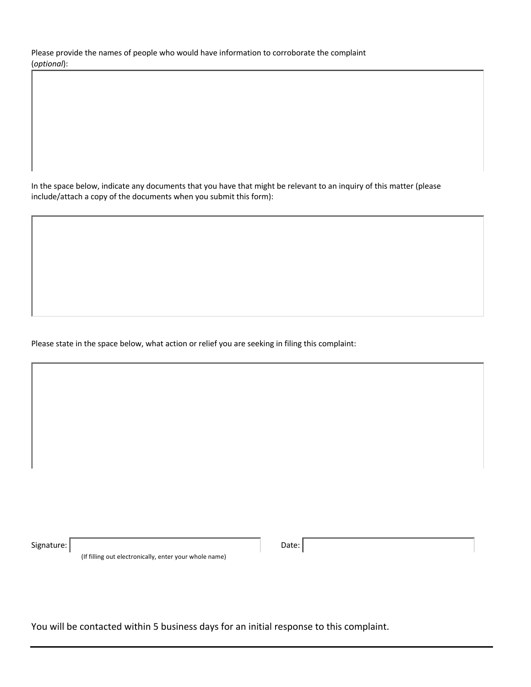Please provide the names of people who would have information to corroborate the complaint (*optional*):

In the space below, indicate any documents that you have that might be relevant to an inquiry of this matter (please include/attach a copy of the documents when you submit this form):

Please state in the space below, what action or relief you are seeking in filing this complaint:

Signature: Date: Date: Date: Date: Date: Date: Date: Date: Date: Date: Date: Date: Date: Date: Date: Date: Date: Date: Date: Date: Date: Date: Date: Date: Date: Date: Date: Date: Date: Date: Date: Date: Date: Date: Date: D

(If filling out electronically, enter your whole name)

You will be contacted within 5 business days for an initial response to this complaint.